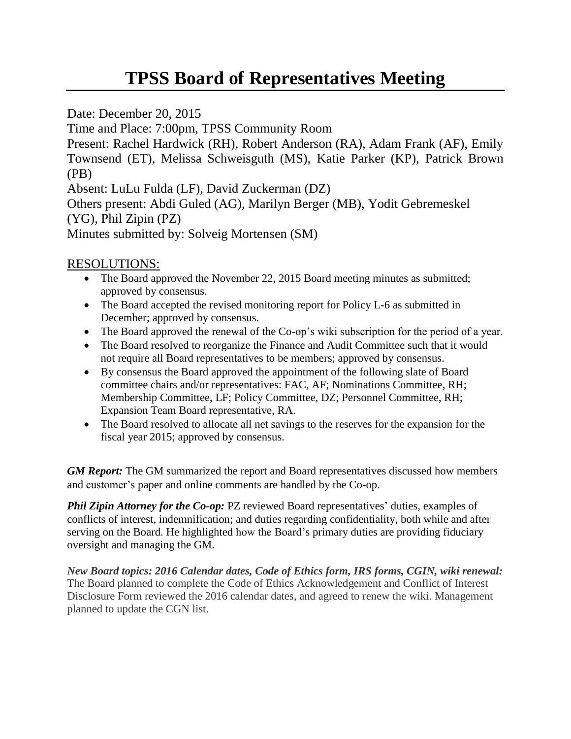## **TPSS Board of Representatives Meeting**

Date: December 20, 2015

Time and Place: 7:00pm, TPSS Community Room

Present: Rachel Hardwick (RH), Robert Anderson (RA), Adam Frank (AF), Emily Townsend (ET), Melissa Schweisguth (MS), Katie Parker (KP), Patrick Brown (PB)

Absent: LuLu Fulda (LF), David Zuckerman (DZ)

Others present: Abdi Guled (AG), Marilyn Berger (MB), Yodit Gebremeskel (YG), Phil Zipin (PZ)

Minutes submitted by: Solveig Mortensen (SM)

## RESOLUTIONS:

- The Board approved the November 22, 2015 Board meeting minutes as submitted; approved by consensus.
- The Board accepted the revised monitoring report for Policy L-6 as submitted in December; approved by consensus.
- The Board approved the renewal of the Co-op's wiki subscription for the period of a year.
- The Board resolved to reorganize the Finance and Audit Committee such that it would not require all Board representatives to be members; approved by consensus.
- By consensus the Board approved the appointment of the following slate of Board committee chairs and/or representatives: FAC, AF; Nominations Committee, RH; Membership Committee, LF; Policy Committee, DZ; Personnel Committee, RH; Expansion Team Board representative, RA.
- The Board resolved to allocate all net savings to the reserves for the expansion for the fiscal year 2015; approved by consensus.

*GM Report:* The GM summarized the report and Board representatives discussed how members and customer's paper and online comments are handled by the Co-op.

*Phil Zipin Attorney for the Co-op: PZ reviewed Board representatives' duties, examples of* conflicts of interest, indemnification; and duties regarding confidentiality, both while and after serving on the Board. He highlighted how the Board's primary duties are providing fiduciary oversight and managing the GM.

*New Board topics: 2016 Calendar dates, Code of Ethics form, IRS forms, CGIN, wiki renewal:*  The Board planned to complete the Code of Ethics Acknowledgement and Conflict of Interest Disclosure Form reviewed the 2016 calendar dates, and agreed to renew the wiki. Management planned to update the CGN list.